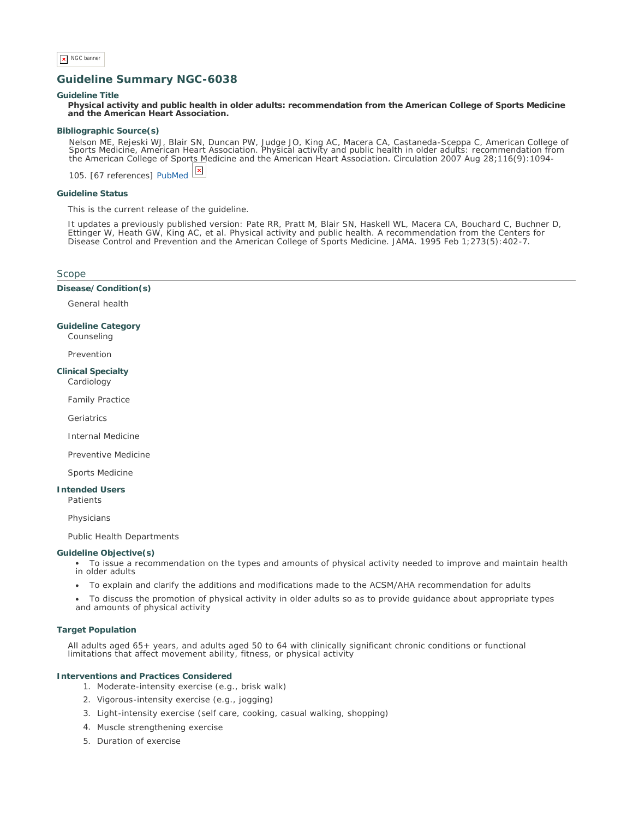# **Guideline Summary NGC-6038**

## **Guideline Title**

**Physical activity and public health in older adults: recommendation from the American College of Sports Medicine and the American Heart Association.**

#### **Bibliographic Source(s)**

Nelson ME, Rejeski WJ, Blair SN, Duncan PW, Judge JO, King AC, Macera CA, Castaneda-Sceppa C, American College of<br>Sports Medicine, American Heart Association. Physical activity and public health in older adults: recommenda the American College of Sports Medicine and the American Heart Association. Circulation 2007 Aug 28;116(9):1094-

105. [67 references] [PubMed](http://www.ncbi.nlm.nih.gov/entrez/query.fcgi?cmd=Retrieve&db=pubmed&dopt=Abstract&list_uids=17671236)  $\boxed{\text{X}}$ 

# **Guideline Status**

This is the current release of the guideline.

It updates a previously published version: Pate RR, Pratt M, Blair SN, Haskell WL, Macera CA, Bouchard C, Buchner D, Ettinger W, Heath GW, King AC, et al. Physical activity and public health. A recommendation from the Centers for Disease Control and Prevention and the American College of Sports Medicine. JAMA. 1995 Feb 1;273(5):402-7.

Scope

## **Disease/Condition(s)**

General health

### **Guideline Category**

Counseling

Prevention

#### **Clinical Specialty**

Cardiology

Family Practice

Geriatrics

Internal Medicine

Preventive Medicine

Sports Medicine

#### **Intended Users**

Patients

Physicians

Public Health Departments

#### **Guideline Objective(s)**

To issue a recommendation on the types and amounts of physical activity needed to improve and maintain health in older adults

• To explain and clarify the additions and modifications made to the ACSM/AHA recommendation for adults

To discuss the promotion of physical activity in older adults so as to provide guidance about appropriate types and amounts of physical activity

#### **Target Population**

All adults aged 65+ years, and adults aged 50 to 64 with clinically significant chronic conditions or functional limitations that affect movement ability, fitness, or physical activity

## **Interventions and Practices Considered**

- 1. Moderate-intensity exercise (e.g., brisk walk)
- 2. Vigorous-intensity exercise (e.g., jogging)
- 3. Light-intensity exercise (self care, cooking, casual walking, shopping)
- 4. Muscle strengthening exercise
- 5. Duration of exercise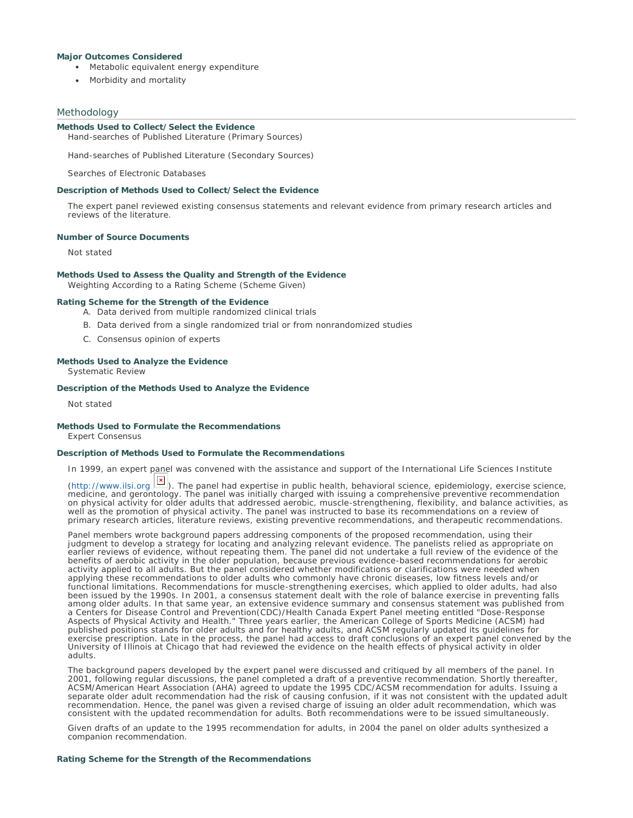## **Major Outcomes Considered**

- Metabolic equivalent energy expenditure
- Morbidity and mortality

# Methodology

# **Methods Used to Collect/Select the Evidence**

Hand-searches of Published Literature (Primary Sources)

Hand-searches of Published Literature (Secondary Sources)

Searches of Electronic Databases

## **Description of Methods Used to Collect/Select the Evidence**

The expert panel reviewed existing consensus statements and relevant evidence from primary research articles and reviews of the literature.

# **Number of Source Documents**

Not stated

# **Methods Used to Assess the Quality and Strength of the Evidence**

Weighting According to a Rating Scheme (Scheme Given)

# **Rating Scheme for the Strength of the Evidence**

- A. Data derived from multiple randomized clinical trials
- B. Data derived from a single randomized trial or from nonrandomized studies
- C. Consensus opinion of experts

#### **Methods Used to Analyze the Evidence**

Systematic Review

# **Description of the Methods Used to Analyze the Evidence**

Not stated

# **Methods Used to Formulate the Recommendations**

Expert Consensus

# **Description of Methods Used to Formulate the Recommendations**

In 1999, an expert panel was convened with the assistance and support of the International Life Sciences Institute

[\(http://www.ilsi.org](http://www.ilsi.org/) ). The panel had expertise in public health, behavioral science, epidemiology, exercise science, medicine, and gerontology. The panel was initially charged with issuing a comprehensive preventive recommendation on physical activity for older adults that addressed aerobic, muscle-strengthening, flexibility, and balance activities, as well as the promotion of physical activity. The panel was instructed to base its recommendations on a review of primary research articles, literature reviews, existing preventive recommendations, and therapeutic recommendations.

Panel members wrote background papers addressing components of the proposed recommendation, using their judgment to develop a strategy for locating and analyzing relevant evidence. The panelists relied as appropriate on earlier reviews of evidence, without repeating them. The panel did not undertake a full review of the evidence of the benefits of aerobic activity in the older population, because previous evidence-based recommendations for aerobic activity applied to all adults. But the panel considered whether modifications or clarifications were needed when applying these recommendations to older adults who commonly have chronic diseases, low fitness levels and/or functional limitations. Recommendations for muscle-strengthening exercises, which applied to older adults, had also been issued by the 1990s. In 2001, a consensus statement dealt with the role of balance exercise in preventing falls among older adults. In that same year, an extensive evidence summary and consensus statement was published from a Centers for Disease Control and Prevention(CDC)/Health Canada Expert Panel meeting entitled "Dose-Response Aspects of Physical Activity and Health." Three years earlier, the American College of Sports Medicine (ACSM) had published positions stands for older adults and for healthy adults, and ACSM regularly updated its guidelines for exercise prescription. Late in the process, the panel had access to draft conclusions of an expert panel convened by the University of Illinois at Chicago that had reviewed the evidence on the health effects of physical activity in older adults.

The background papers developed by the expert panel were discussed and critiqued by all members of the panel. In 2001, following regular discussions, the panel completed a draft of a preventive recommendation. Shortly thereafter, ACSM/American Heart Association (AHA) agreed to update the 1995 CDC/ACSM recommendation for adults. Issuing a separate older adult recommendation had the risk of causing confusion, if it was not consistent with the updated adult recommendation. Hence, the panel was given a revised charge of issuing an older adult recommendation, which was consistent with the updated recommendation for adults. Both recommendations were to be issued simultaneously.

Given drafts of an update to the 1995 recommendation for adults, in 2004 the panel on older adults synthesized a companion recommendation.

#### **Rating Scheme for the Strength of the Recommendations**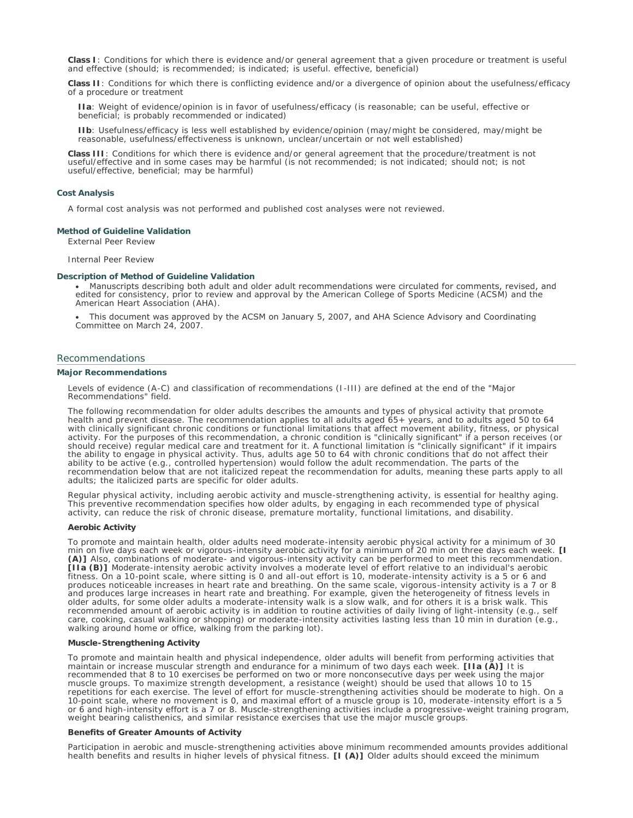**Class I**: Conditions for which there is evidence and/or general agreement that a given procedure or treatment is useful and effective (should; is recommended; is indicated; is useful. effective, beneficial)

**Class II**: Conditions for which there is conflicting evidence and/or a divergence of opinion about the usefulness/efficacy of a procedure or treatment

**IIa**: Weight of evidence/opinion is in favor of usefulness/efficacy (is reasonable; can be useful, effective or beneficial; is probably recommended or indicated)

**IIb**: Usefulness/efficacy is less well established by evidence/opinion (may/might be considered, may/might be reasonable, usefulness/effectiveness is unknown, unclear/uncertain or not well established)

**Class III**: Conditions for which there is evidence and/or general agreement that the procedure/treatment is not useful/effective and in some cases may be harmful (is not recommended; is not indicated; should not; is not useful/effective, beneficial; may be harmful)

## **Cost Analysis**

A formal cost analysis was not performed and published cost analyses were not reviewed.

# **Method of Guideline Validation**

External Peer Review

Internal Peer Review

# **Description of Method of Guideline Validation**

<sup>l</sup> Manuscripts describing both adult and older adult recommendations were circulated for comments, revised, and edited for consistency, prior to review and approval by the American College of Sports Medicine (ACSM) and the American Heart Association (AHA).

This document was approved by the ACSM on January 5, 2007, and AHA Science Advisory and Coordinating Committee on March 24, 2007.

# Recommendations

### **Major Recommendations**

Levels of evidence (A-C) and classification of recommendations (I-III) are defined at the end of the "Major Recommendations" field.

The following recommendation for older adults describes the amounts and types of physical activity that promote health and prevent disease. The recommendation applies to all adults aged 65+ years, and to adults aged 50 to 64 with clinically significant chronic conditions or functional limitations that affect movement ability, fitness, or physical activity. For the purposes of this recommendation, a chronic condition is "clinically significant" if a person receives (or should receive) regular medical care and treatment for it. A functional limitation is "clinically significant" if it impairs the ability to engage in physical activity. Thus, adults age 50 to 64 with chronic conditions that do not affect their ability to be active (e.g., controlled hypertension) would follow the adult recommendation. The parts of the recommendation below that are not italicized repeat the recommendation for adults, meaning these parts apply to all adults; the italicized parts are specific for older adults.

*Regular physical activity, including aerobic activity and muscle-strengthening activity, is essential for healthy aging. This preventive recommendation specifies how older adults, by engaging in each recommended type of physical activity, can reduce the risk of chronic disease, premature mortality, functional limitations, and disability.*

# **Aerobic Activity**

To promote and maintain health, older adults need moderate-intensity aerobic physical activity for a minimum of 30 min on five days each week or vigorous-intensity aerobic activity for a minimum of 20 min on three days each week. **[I (A)]** Also, combinations of moderate- and vigorous-intensity activity can be performed to meet this recommendation. **[IIa (B)]** *Moderate-intensity aerobic activity involves a moderate level of effort relative to an individual's aerobic fitness. On a 10-point scale, where sitting is 0 and all-out effort is 10, moderate-intensity activity is a 5 or 6 and produces noticeable increases in heart rate and breathing. On the same scale, vigorous-intensity activity is a 7 or 8 and produces large increases in heart rate and breathing. For example, given the heterogeneity of fitness levels in older adults, for some older adults a moderate-intensity walk is a slow walk, and for others it is a brisk walk.* This recommended amount of aerobic activity is in addition to routine activities of daily living of light-intensity (e.g., self care, cooking, casual walking or shopping) or moderate-intensity activities lasting less than 10 min in duration (e.g., walking around home or office, walking from the parking lot).

### **Muscle-Strengthening Activity**

To promote and maintain health and physical independence, older adults will benefit from performing activities that maintain or increase muscular strength and endurance for a minimum of two days each week. **[IIa (A)]** It is recommended that 8 to 10 exercises be performed on two or more nonconsecutive days per week using the major muscle groups. *To maximize strength development, a resistance (weight) should be used that allows 10 to 15 repetitions for each exercise. The level of effort for muscle-strengthening activities should be moderate to high. On a 10-point scale, where no movement is 0, and maximal effort of a muscle group is 10, moderate-intensity effort is a 5 or 6 and high-intensity effort is a 7 or 8.* Muscle-strengthening activities include a progressive-weight training program, weight bearing calisthenics, and similar resistance exercises that use the major muscle groups.

### **Benefits of Greater Amounts of Activity**

Participation in aerobic and muscle-strengthening activities above minimum recommended amounts provides additional health benefits and results in higher levels of physical fitness. **[I (A)]** *Older adults should exceed the minimum*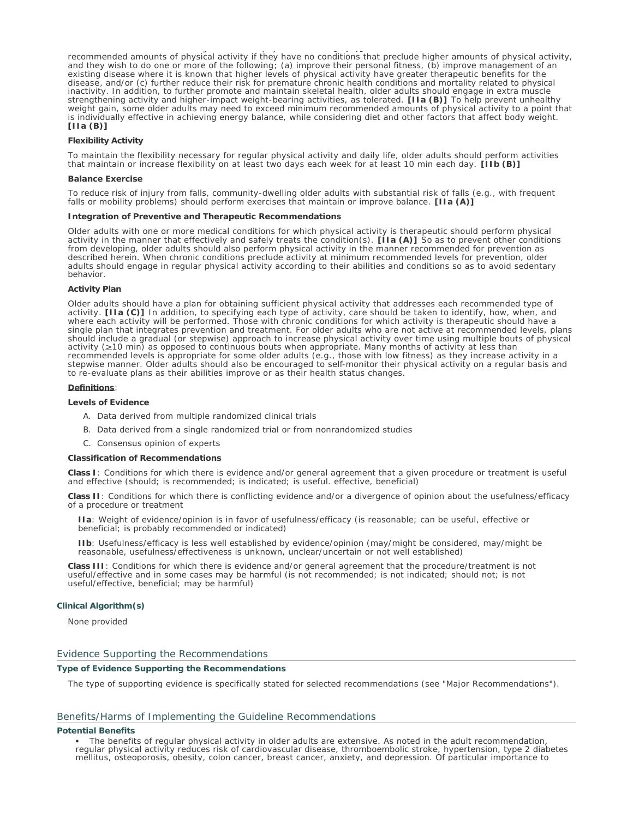health benefits and results in higher levels of physical fitness. **[I (A)]** *Older adults should exceed the minimum recommended amounts of physical activity if they have no conditions that preclude higher amounts of physical activity, and they wish to do one or more of the following*; (a) improve their personal fitness, *(b) improve management of an existing disease where it is known that higher levels of physical activity have greater therapeutic benefits for the disease*, and/or (c) further reduce their risk for premature chronic health conditions and mortality related to physical inactivity. In addition, to further promote and maintain skeletal health, older adults should engage in extra muscle strengthening activity and higher-impact weight-bearing activities, as tolerated. **[IIa (B)]** To help prevent unhealthy weight gain, some older adults may need to exceed minimum recommended amounts of physical activity to a point that is individually effective in achieving energy balance, while considering diet and other factors that affect body weight. **[IIa (B)]**

# **Flexibility Activity**

*To maintain the flexibility necessary for regular physical activity and daily life, older adults should perform activities that maintain or increase flexibility on at least two days each week for at least 10 min each day.* **[IIb (B)]**

### **Balance Exercise**

*To reduce risk of injury from falls, community-dwelling older adults with substantial risk of falls (e.g., with frequent falls or mobility problems) should perform exercises that maintain or improve balance.* **[IIa (A)]**

### **Integration of Preventive and Therapeutic Recommendations**

*Older adults with one or more medical conditions for which physical activity is therapeutic should perform physical activity in the manner that effectively and safely treats the condition(s).* **[IIa (A)]** *So as to prevent other conditions from developing, older adults should also perform physical activity in the manner recommended for prevention as described herein. When chronic conditions preclude activity at minimum recommended levels for prevention, older adults should engage in regular physical activity according to their abilities and conditions so as to avoid sedentary behavior.*

#### **Activity Plan**

*Older adults should have a plan for obtaining sufficient physical activity that addresses each recommended type of activity*. **[IIa (C)]** *In addition, to specifying each type of activity, care should be taken to identify, how, when, and*  where each activity will be performed. Those with chronic conditions for which activity is therapeutic should have a *single plan that integrates prevention and treatment. For older adults who are not active at recommended levels, plans should include a gradual (or stepwise) approach to increase physical activity over time using multiple bouts of physical activity (>10 min) as opposed to continuous bouts when appropriate. Many months of activity at less than recommended levels is appropriate for some older adults (e.g., those with low fitness) as they increase activity in a stepwise manner. Older adults should also be encouraged to self-monitor their physical activity on a regular basis and to re-evaluate plans as their abilities improve or as their health status changes.*

#### **Definitions**:

#### **Levels of Evidence**

- A. Data derived from multiple randomized clinical trials
- B. Data derived from a single randomized trial or from nonrandomized studies
- C. Consensus opinion of experts

### **Classification of Recommendations**

**Class I**: Conditions for which there is evidence and/or general agreement that a given procedure or treatment is useful and effective (should; is recommended; is indicated; is useful. effective, beneficial)

**Class II**: Conditions for which there is conflicting evidence and/or a divergence of opinion about the usefulness/efficacy of a procedure or treatment

**IIa**: Weight of evidence/opinion is in favor of usefulness/efficacy (is reasonable; can be useful, effective or beneficial; is probably recommended or indicated)

**IIb**: Usefulness/efficacy is less well established by evidence/opinion (may/might be considered, may/might be reasonable, usefulness/effectiveness is unknown, unclear/uncertain or not well established)

**Class III**: Conditions for which there is evidence and/or general agreement that the procedure/treatment is not useful/effective and in some cases may be harmful (is not recommended; is not indicated; should not; is not useful/effective, beneficial; may be harmful)

### **Clinical Algorithm(s)**

None provided

# Evidence Supporting the Recommendations

#### **Type of Evidence Supporting the Recommendations**

The type of supporting evidence is specifically stated for selected recommendations (see "Major Recommendations").

### Benefits/Harms of Implementing the Guideline Recommendations

### **Potential Benefits**

The benefits of regular physical activity in older adults are extensive. As noted in the adult recommendation, regular physical activity reduces risk of cardiovascular disease, thromboembolic stroke, hypertension, type 2 diabetes mellitus, osteoporosis, obesity, colon cancer, breast cancer, anxiety, and depression. Of particular importance to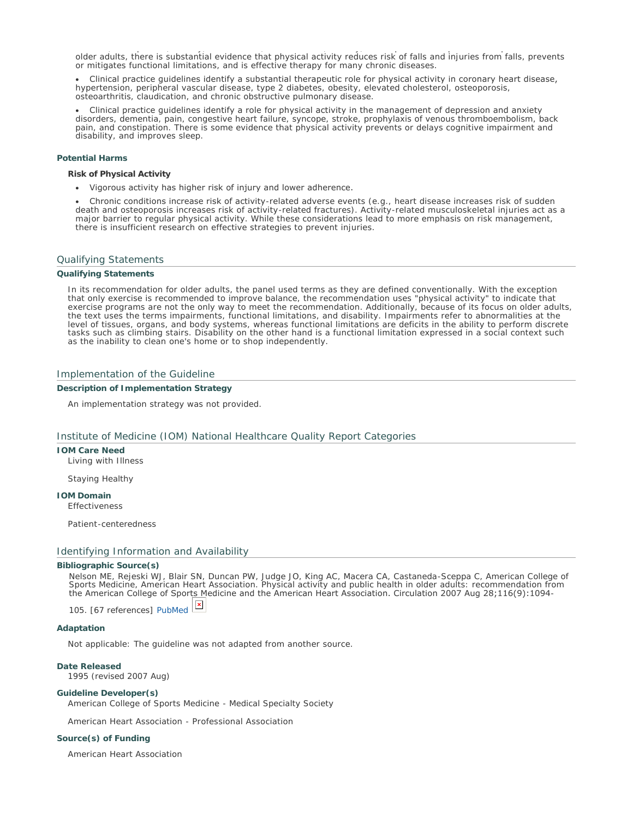mellitus, osteoporosis, obesity, colon cancer, breast cancer, anxiety, and depression. Of particular importance to older adults, there is substantial evidence that physical activity reduces risk of falls and injuries from falls, prevents or mitigates functional limitations, and is effective therapy for many chronic diseases.

<sup>l</sup> Clinical practice guidelines identify a substantial therapeutic role for physical activity in coronary heart disease, hypertension, peripheral vascular disease, type 2 diabetes, obesity, elevated cholesterol, osteoporosis, osteoarthritis, claudication, and chronic obstructive pulmonary disease.

<sup>l</sup> Clinical practice guidelines identify a role for physical activity in the management of depression and anxiety disorders, dementia, pain, congestive heart failure, syncope, stroke, prophylaxis of venous thromboembolism, back pain, and constipation. There is some evidence that physical activity prevents or delays cognitive impairment and disability, and improves sleep.

#### **Potential Harms**

**Risk of Physical Activity**

• Vigorous activity has higher risk of injury and lower adherence.

• Chronic conditions increase risk of activity-related adverse events (e.g., heart disease increases risk of sudden death and osteoporosis increases risk of activity-related fractures). Activity-related musculoskeletal injuries act as a major barrier to regular physical activity. While these considerations lead to more emphasis on risk management, there is insufficient research on effective strategies to prevent injuries.

# Qualifying Statements

#### **Qualifying Statements**

In its recommendation for older adults, the panel used terms as they are defined conventionally. With the exception that only exercise is recommended to improve balance, the recommendation uses "physical activity" to indicate that exercise programs are not the only way to meet the recommendation. Additionally, because of its focus on older adults, the text uses the terms impairments, functional limitations, and disability. Impairments refer to abnormalities at the level of tissues, organs, and body systems, whereas functional limitations are deficits in the ability to perform discrete tasks such as climbing stairs. Disability on the other hand is a functional limitation expressed in a social context such as the inability to clean one's home or to shop independently.

# Implementation of the Guideline

#### **Description of Implementation Strategy**

An implementation strategy was not provided.

# Institute of Medicine (IOM) National Healthcare Quality Report Categories

#### **IOM Care Need**

Living with Illness

Staying Healthy

#### **IOM Domain**

Effectiveness

Patient-centeredness

# Identifying Information and Availability

#### **Bibliographic Source(s)**

Nelson ME, Rejeski WJ, Blair SN, Duncan PW, Judge JO, King AC, Macera CA, Castaneda-Sceppa C, American College of Sports Medicine, American Heart Association. Physical activity and public health in older adults: recommendation from the American College of Sports Medicine and the American Heart Association. Circulation 2007 Aug 28;116(9):1094-

105. [67 references] [PubMed](http://www.ncbi.nlm.nih.gov/entrez/query.fcgi?cmd=Retrieve&db=pubmed&dopt=Abstract&list_uids=17671236)  $\boxed{2}$ 

# **Adaptation**

Not applicable: The guideline was not adapted from another source.

### **Date Released**

1995 (revised 2007 Aug)

#### **Guideline Developer(s)**

American College of Sports Medicine - Medical Specialty Society

American Heart Association - Professional Association

## **Source(s) of Funding**

American Heart Association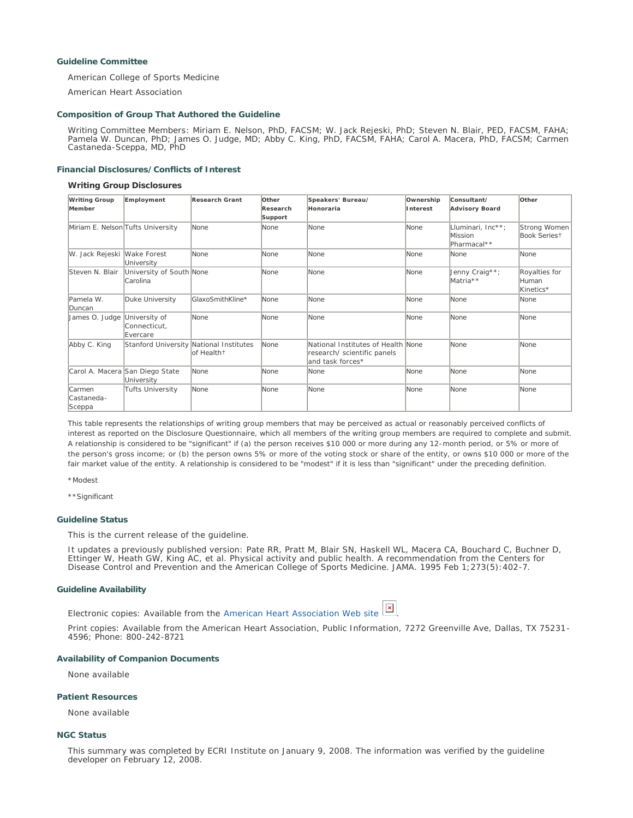#### **Guideline Committee**

American College of Sports Medicine

American Heart Association

## **Composition of Group That Authored the Guideline**

*Writing Committee Members*: Miriam E. Nelson, PhD, FACSM; W. Jack Rejeski, PhD; Steven N. Blair, PED, FACSM, FAHA; Pamela W. Duncan, PhD; James O. Judge, MD; Abby C. King, PhD, FACSM, FAHA; Carol A. Macera, PhD, FACSM; Carmen Castaneda-Sceppa, MD, PhD

# **Financial Disclosures/Conflicts of Interest**

#### **Writing Group Disclosures**

| <b>Writing Group</b><br>Member | Employment                                    | Research Grant   | Other<br>Research | Speakers' Bureau/<br>Honoraria                                                         | Ownership<br>Interest | Consultant/<br>Advisory Board               | Other                               |
|--------------------------------|-----------------------------------------------|------------------|-------------------|----------------------------------------------------------------------------------------|-----------------------|---------------------------------------------|-------------------------------------|
|                                |                                               |                  | Support           |                                                                                        |                       |                                             |                                     |
|                                | Miriam E. Nelson Tufts University             | None             | <b>None</b>       | <b>None</b>                                                                            | <b>None</b>           | Lluminari, Inc**;<br>Mission<br>Pharmacal** | Strong Women<br>Book Seriest        |
| W. Jack Rejeski                | Wake Forest<br>University                     | None             | <b>None</b>       | None                                                                                   | <b>None</b>           | <b>None</b>                                 | None                                |
| Steven N. Blair                | University of South None<br>Carolina          |                  | <b>None</b>       | <b>None</b>                                                                            | <b>None</b>           | Jenny Craig**;<br>Matria**                  | Royalties for<br>Human<br>Kinetics* |
| Pamela W.<br>IDuncan           | Duke University                               | GlaxoSmithKline* | <b>None</b>       | <b>None</b>                                                                            | <b>None</b>           | <b>None</b>                                 | <b>None</b>                         |
| James O. Judge                 | University of<br>Connecticut,<br>Evercare     | None             | <b>None</b>       | <b>None</b>                                                                            | <b>None</b>           | <b>None</b>                                 | None                                |
| Abby C. King                   | Stanford University National Institutes       | of Health+       | <b>None</b>       | National Institutes of Health None<br>research/ scientific panels<br>land task forces* |                       | <b>None</b>                                 | None                                |
|                                | Carol A. Macera San Diego State<br>University | None             | None              | <b>None</b>                                                                            | <b>None</b>           | <b>None</b>                                 | None                                |
| Carmen<br>Castaneda-<br>Sceppa | <b>Tufts University</b>                       | None             | <b>None</b>       | None                                                                                   | None                  | None                                        | <b>None</b>                         |

This table represents the relationships of writing group members that may be perceived as actual or reasonably perceived conflicts of interest as reported on the Disclosure Questionnaire, which all members of the writing group members are required to complete and submit. A relationship is considered to be "significant" if (a) the person receives \$10 000 or more during any 12-month period, or 5% or more of the person's gross income; or (b) the person owns 5% or more of the voting stock or share of the entity, or owns \$10 000 or more of the fair market value of the entity. A relationship is considered to be "modest" if it is less than "significant" under the preceding definition.

\*Modest

\*\*Significant

#### **Guideline Status**

This is the current release of the guideline.

It updates a previously published version: Pate RR, Pratt M, Blair SN, Haskell WL, Macera CA, Bouchard C, Buchner D, Ettinger W, Heath GW, King AC, et al. Physical activity and public health. A recommendation from the Centers for Disease Control and Prevention and the American College of Sports Medicine. JAMA. 1995 Feb 1;273(5):402-7.

# **Guideline Availability**

Electronic copies: Available from the [American Heart Association Web site](http://circ.ahajournals.org/cgi/reprint/CIRCULATIONAHA.107.185650)  $\boxed{\mathbf{x}}$ 

Print copies: Available from the American Heart Association, Public Information, 7272 Greenville Ave, Dallas, TX 75231- 4596; Phone: 800-242-8721

## **Availability of Companion Documents**

None available

#### **Patient Resources**

None available

## **NGC Status**

This summary was completed by ECRI Institute on January 9, 2008. The information was verified by the guideline developer on February 12, 2008.